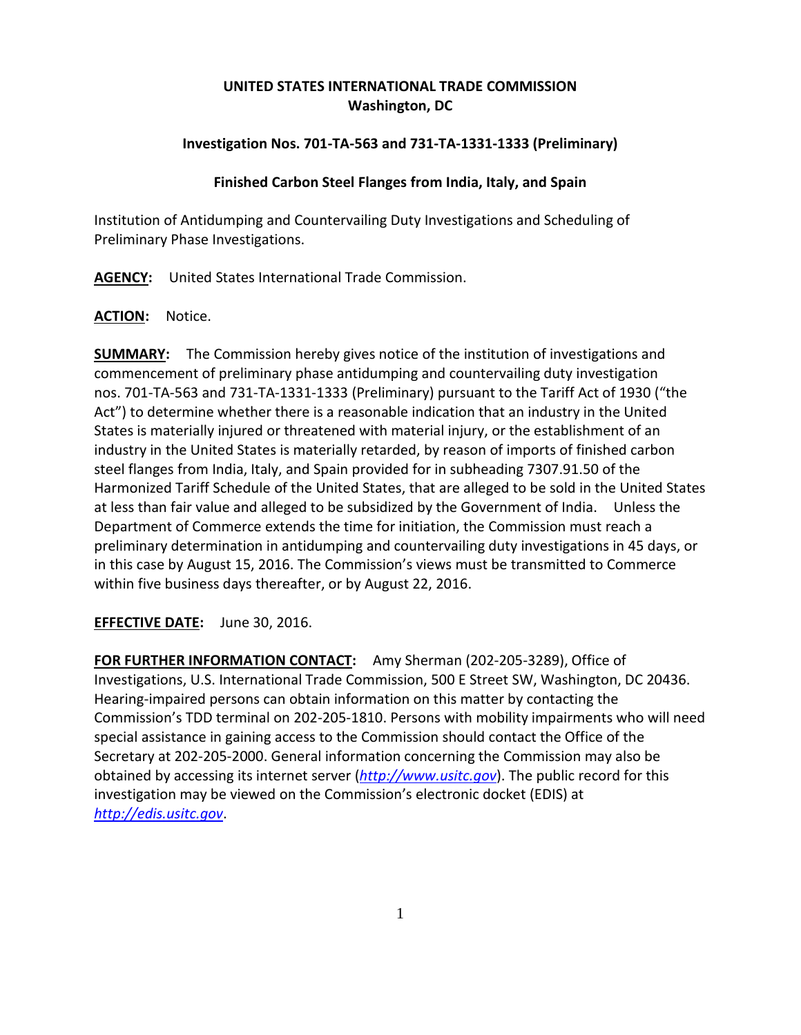# **UNITED STATES INTERNATIONAL TRADE COMMISSION Washington, DC**

## **Investigation Nos. 701-TA-563 and 731-TA-1331-1333 (Preliminary)**

### **Finished Carbon Steel Flanges from India, Italy, and Spain**

Institution of Antidumping and Countervailing Duty Investigations and Scheduling of Preliminary Phase Investigations.

**AGENCY:** United States International Trade Commission.

### **ACTION:** Notice.

**SUMMARY:** The Commission hereby gives notice of the institution of investigations and commencement of preliminary phase antidumping and countervailing duty investigation nos. 701-TA-563 and 731-TA-1331-1333 (Preliminary) pursuant to the Tariff Act of 1930 ("the Act") to determine whether there is a reasonable indication that an industry in the United States is materially injured or threatened with material injury, or the establishment of an industry in the United States is materially retarded, by reason of imports of finished carbon steel flanges from India, Italy, and Spain provided for in subheading 7307.91.50 of the Harmonized Tariff Schedule of the United States, that are alleged to be sold in the United States at less than fair value and alleged to be subsidized by the Government of India. Unless the Department of Commerce extends the time for initiation, the Commission must reach a preliminary determination in antidumping and countervailing duty investigations in 45 days, or in this case by August 15, 2016. The Commission's views must be transmitted to Commerce within five business days thereafter, or by August 22, 2016.

**EFFECTIVE DATE:** June 30, 2016.

**FOR FURTHER INFORMATION CONTACT:** Amy Sherman (202-205-3289), Office of Investigations, U.S. International Trade Commission, 500 E Street SW, Washington, DC 20436. Hearing-impaired persons can obtain information on this matter by contacting the Commission's TDD terminal on 202-205-1810. Persons with mobility impairments who will need special assistance in gaining access to the Commission should contact the Office of the Secretary at 202-205-2000. General information concerning the Commission may also be obtained by accessing its internet server (*[http://www.usitc.gov](http://www.usitc.gov/)*). The public record for this investigation may be viewed on the Commission's electronic docket (EDIS) at *[http://edis.usitc.gov](http://edis.usitc.gov/)*.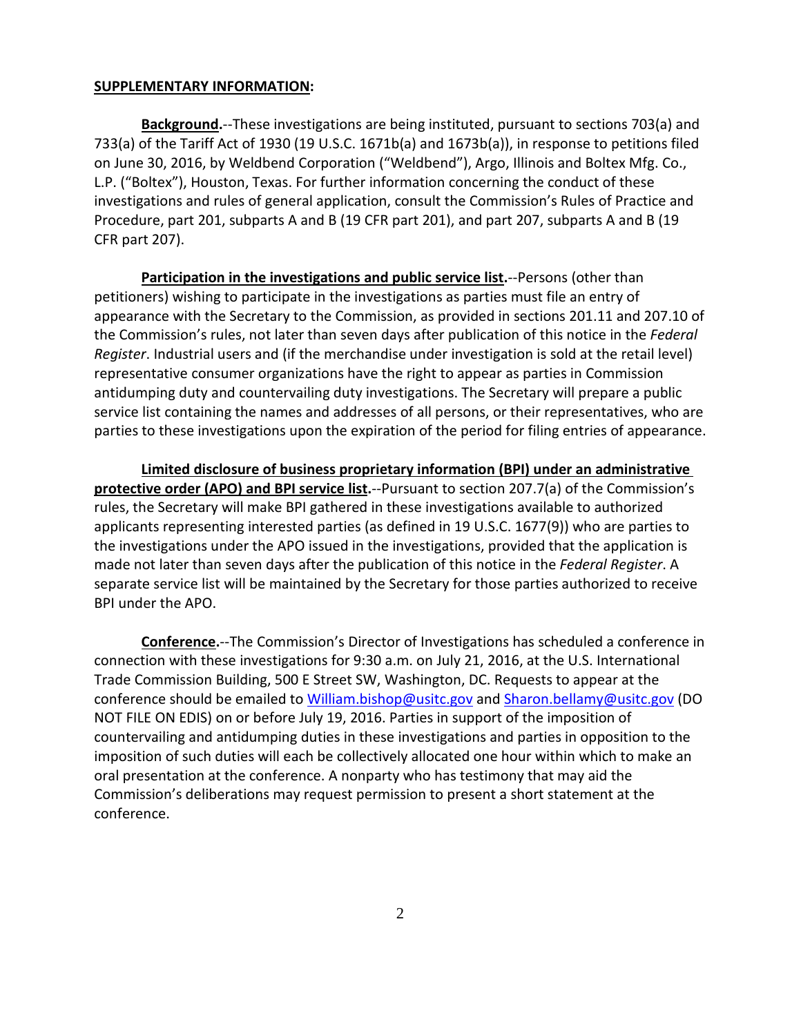#### **SUPPLEMENTARY INFORMATION:**

**Background.**--These investigations are being instituted, pursuant to sections 703(a) and 733(a) of the Tariff Act of 1930 (19 U.S.C. 1671b(a) and 1673b(a)), in response to petitions filed on June 30, 2016, by Weldbend Corporation ("Weldbend"), Argo, Illinois and Boltex Mfg. Co., L.P. ("Boltex"), Houston, Texas. For further information concerning the conduct of these investigations and rules of general application, consult the Commission's Rules of Practice and Procedure, part 201, subparts A and B (19 CFR part 201), and part 207, subparts A and B (19 CFR part 207).

**Participation in the investigations and public service list.**--Persons (other than petitioners) wishing to participate in the investigations as parties must file an entry of appearance with the Secretary to the Commission, as provided in sections 201.11 and 207.10 of the Commission's rules, not later than seven days after publication of this notice in the *Federal Register*. Industrial users and (if the merchandise under investigation is sold at the retail level) representative consumer organizations have the right to appear as parties in Commission antidumping duty and countervailing duty investigations. The Secretary will prepare a public service list containing the names and addresses of all persons, or their representatives, who are parties to these investigations upon the expiration of the period for filing entries of appearance.

**Limited disclosure of business proprietary information (BPI) under an administrative protective order (APO) and BPI service list.**--Pursuant to section 207.7(a) of the Commission's rules, the Secretary will make BPI gathered in these investigations available to authorized applicants representing interested parties (as defined in 19 U.S.C. 1677(9)) who are parties to the investigations under the APO issued in the investigations, provided that the application is made not later than seven days after the publication of this notice in the *Federal Register*. A separate service list will be maintained by the Secretary for those parties authorized to receive BPI under the APO.

**Conference.**--The Commission's Director of Investigations has scheduled a conference in connection with these investigations for 9:30 a.m. on July 21, 2016, at the U.S. International Trade Commission Building, 500 E Street SW, Washington, DC. Requests to appear at the conference should be emailed to [William.bishop@usitc.gov](mailto:William.bishop@usitc.gov) and [Sharon.bellamy@usitc.gov](mailto:Sharon.bellamy@usitc.gov)) (DO NOT FILE ON EDIS) on or before July 19, 2016. Parties in support of the imposition of countervailing and antidumping duties in these investigations and parties in opposition to the imposition of such duties will each be collectively allocated one hour within which to make an oral presentation at the conference. A nonparty who has testimony that may aid the Commission's deliberations may request permission to present a short statement at the conference.